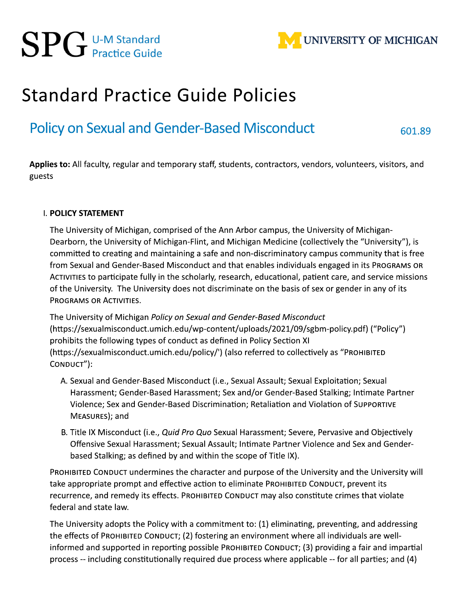

# **Standard Practice Guide Policies**

# **Policy on Sexual and Gender-Based Misconduct**

601.89

Applies to: All faculty, regular and temporary staff, students, contractors, vendors, volunteers, visitors, and guests

#### I. POLICY STATEMENT

The University of Michigan, comprised of the Ann Arbor campus, the University of Michigan-Dearborn, the University of Michigan-Flint, and Michigan Medicine (collectively the "University"), is committed to creating and maintaining a safe and non-discriminatory campus community that is free from Sexual and Gender-Based Misconduct and that enables individuals engaged in its PROGRAMS OR ACTIVITIES to participate fully in the scholarly, research, educational, patient care, and service missions of the University. The University does not discriminate on the basis of sex or gender in any of its **PROGRAMS OR ACTIVITIES.** 

The University of Michigan Policy on Sexual and Gender-Based Misconduct (https://sexualmisconduct.umich.edu/wp-content/uploads/2021/09/sgbm-policy.pdf) ("Policy") prohibits the following types of conduct as defined in Policy Section XI (https://sexualmisconduct.umich.edu/policy/') (also referred to collectively as "PROHIBITED CONDUCT"):

- A. Sexual and Gender-Based Misconduct (i.e., Sexual Assault; Sexual Exploitation; Sexual Harassment; Gender-Based Harassment; Sex and/or Gender-Based Stalking; Intimate Partner Violence; Sex and Gender-Based Discrimination; Retaliation and Violation of SUPPORTIVE MEASURES); and
- B. Title IX Misconduct (i.e., Quid Pro Quo Sexual Harassment; Severe, Pervasive and Objectively Offensive Sexual Harassment; Sexual Assault; Intimate Partner Violence and Sex and Genderbased Stalking; as defined by and within the scope of Title IX).

PROHIBITED CONDUCT undermines the character and purpose of the University and the University will take appropriate prompt and effective action to eliminate PROHIBITED CONDUCT, prevent its recurrence, and remedy its effects. PROHIBITED CONDUCT may also constitute crimes that violate federal and state law.

The University adopts the Policy with a commitment to: (1) eliminating, preventing, and addressing the effects of PROHIBITED CONDUCT; (2) fostering an environment where all individuals are wellinformed and supported in reporting possible PROHIBITED CONDUCT; (3) providing a fair and impartial process -- including constitutionally required due process where applicable -- for all parties; and (4)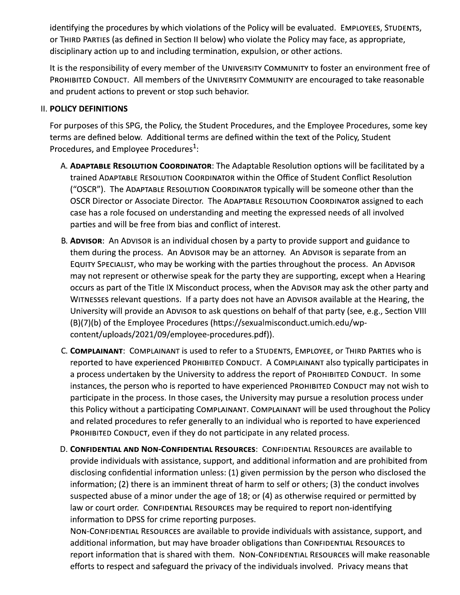identifying the procedures by which violations of the Policy will be evaluated. EMPLOYEES, STUDENTS, or THIRD PARTIES (as defined in Section II below) who violate the Policy may face, as appropriate, disciplinary action up to and including termination, expulsion, or other actions.

It is the responsibility of every member of the UNIVERSITY COMMUNITY to foster an environment free of PROHIBITED CONDUCT. All members of the UNIVERSITY COMMUNITY are encouraged to take reasonable and prudent actions to prevent or stop such behavior.

### **II. POLICY DEFINITIONS**

For purposes of this SPG, the Policy, the Student Procedures, and the Employee Procedures, some key terms are defined below. Additional terms are defined within the text of the Policy, Student Procedures, and Employee Procedures<sup>1</sup>:

- A. ADAPTABLE RESOLUTION COORDINATOR: The Adaptable Resolution options will be facilitated by a trained ADAPTABLE RESOLUTION COORDINATOR within the Office of Student Conflict Resolution ("OSCR"). The ADAPTABLE RESOLUTION COORDINATOR typically will be someone other than the OSCR Director or Associate Director. The ADAPTABLE RESOLUTION COORDINATOR assigned to each case has a role focused on understanding and meeting the expressed needs of all involved parties and will be free from bias and conflict of interest.
- B. ADVISOR: An ADVISOR is an individual chosen by a party to provide support and guidance to them during the process. An ADVISOR may be an attorney. An ADVISOR is separate from an EQUITY SPECIALIST, who may be working with the parties throughout the process. An ADVISOR may not represent or otherwise speak for the party they are supporting, except when a Hearing occurs as part of the Title IX Misconduct process, when the ADVISOR may ask the other party and WITNESSES relevant questions. If a party does not have an ADVISOR available at the Hearing, the University will provide an ADVISOR to ask questions on behalf of that party (see, e.g., Section VIII (B)(7)(b) of the Employee Procedures (https://sexualmisconduct.umich.edu/wpcontent/uploads/2021/09/employee-procedures.pdf)).
- C. COMPLAINANT: COMPLAINANT is used to refer to a STUDENTS, EMPLOYEE, or THIRD PARTIES who is reported to have experienced PROHIBITED CONDUCT. A COMPLAINANT also typically participates in a process undertaken by the University to address the report of PROHIBITED CONDUCT. In some instances, the person who is reported to have experienced PROHIBITED CONDUCT may not wish to participate in the process. In those cases, the University may pursue a resolution process under this Policy without a participating COMPLAINANT. COMPLAINANT will be used throughout the Policy and related procedures to refer generally to an individual who is reported to have experienced PROHIBITED CONDUCT, even if they do not participate in any related process.
- D. CONFIDENTIAL AND NON-CONFIDENTIAL RESOURCES: CONFIDENTIAL RESOURCES are available to provide individuals with assistance, support, and additional information and are prohibited from disclosing confidential information unless: (1) given permission by the person who disclosed the information; (2) there is an imminent threat of harm to self or others; (3) the conduct involves suspected abuse of a minor under the age of 18; or (4) as otherwise required or permitted by law or court order. CONFIDENTIAL RESOURCES may be required to report non-identifying information to DPSS for crime reporting purposes.

NON-CONFIDENTIAL RESOURCES are available to provide individuals with assistance, support, and additional information, but may have broader obligations than CONFIDENTIAL RESOURCES to report information that is shared with them. NON-CONFIDENTIAL RESOURCES will make reasonable efforts to respect and safeguard the privacy of the individuals involved. Privacy means that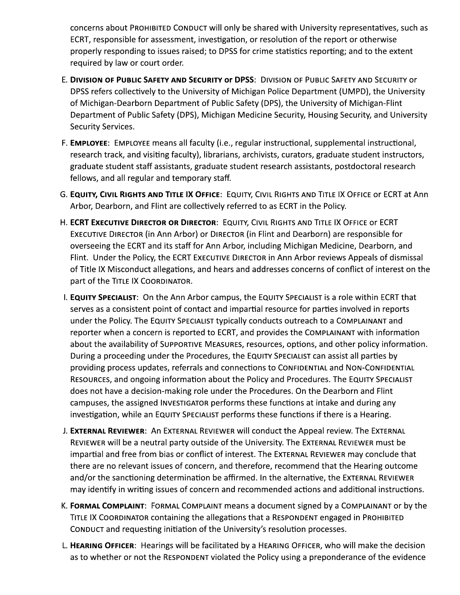concerns about PROHIBITED CONDUCT will only be shared with University representatives, such as ECRT, responsible for assessment, investigation, or resolution of the report or otherwise properly responding to issues raised; to DPSS for crime statistics reporting; and to the extent required by law or court order.

- E. DIVISION OF PUBLIC SAFETY AND SECURITY OF DPSS: DIVISION OF PUBLIC SAFETY AND SECURITY OF DPSS refers collectively to the University of Michigan Police Department (UMPD), the University of Michigan-Dearborn Department of Public Safety (DPS), the University of Michigan-Flint Department of Public Safety (DPS), Michigan Medicine Security, Housing Security, and University **Security Services.**
- F. EMPLOYEE: EMPLOYEE means all faculty (i.e., regular instructional, supplemental instructional, research track, and visiting faculty), librarians, archivists, curators, graduate student instructors, graduate student staff assistants, graduate student research assistants, postdoctoral research fellows, and all regular and temporary staff.
- G. EQUITY, CIVIL RIGHTS AND TITLE IX OFFICE: EQUITY, CIVIL RIGHTS AND TITLE IX OFFICE OF ECRT at Ann Arbor, Dearborn, and Flint are collectively referred to as ECRT in the Policy.
- H. ECRT EXECUTIVE DIRECTOR OR DIRECTOR: EQUITY, CIVIL RIGHTS AND TITLE IX OFFICE OF ECRT EXECUTIVE DIRECTOR (in Ann Arbor) or DIRECTOR (in Flint and Dearborn) are responsible for overseeing the ECRT and its staff for Ann Arbor, including Michigan Medicine, Dearborn, and Flint. Under the Policy, the ECRT EXECUTIVE DIRECTOR in Ann Arbor reviews Appeals of dismissal of Title IX Misconduct allegations, and hears and addresses concerns of conflict of interest on the part of the TITLE IX COORDINATOR.
- I. EQUITY SPECIALIST: On the Ann Arbor campus, the EQUITY SPECIALIST is a role within ECRT that serves as a consistent point of contact and impartial resource for parties involved in reports under the Policy. The EQUITY SPECIALIST typically conducts outreach to a COMPLAINANT and reporter when a concern is reported to ECRT, and provides the COMPLAINANT with information about the availability of SUPPORTIVE MEASURES, resources, options, and other policy information. During a proceeding under the Procedures, the EQUITY SPECIALIST can assist all parties by providing process updates, referrals and connections to CONFIDENTIAL and NON-CONFIDENTIAL RESOURCES, and ongoing information about the Policy and Procedures. The EQUITY SPECIALIST does not have a decision-making role under the Procedures. On the Dearborn and Flint campuses, the assigned INVESTIGATOR performs these functions at intake and during any investigation, while an EQUITY SPECIALIST performs these functions if there is a Hearing.
- J. EXTERNAL REVIEWER: An EXTERNAL REVIEWER will conduct the Appeal review. The EXTERNAL REVIEWER will be a neutral party outside of the University. The EXTERNAL REVIEWER must be impartial and free from bias or conflict of interest. The EXTERNAL REVIEWER may conclude that there are no relevant issues of concern, and therefore, recommend that the Hearing outcome and/or the sanctioning determination be affirmed. In the alternative, the EXTERNAL REVIEWER may identify in writing issues of concern and recommended actions and additional instructions.
- K. FORMAL COMPLAINT: FORMAL COMPLAINT means a document signed by a COMPLAINANT or by the TITLE IX COORDINATOR containing the allegations that a RESPONDENT engaged in PROHIBITED CONDUCT and requesting initiation of the University's resolution processes.
- L. HEARING OFFICER: Hearings will be facilitated by a HEARING OFFICER, who will make the decision as to whether or not the RESPONDENT violated the Policy using a preponderance of the evidence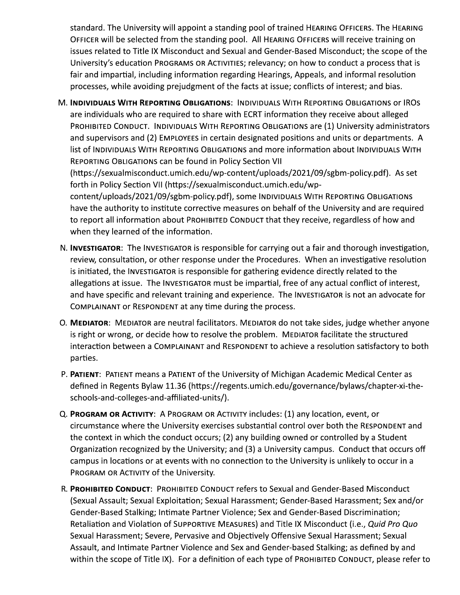standard. The University will appoint a standing pool of trained HEARING OFFICERS. The HEARING  $\,$ OFFICER will be selected from the standing pool. All HEARING OFFICERS will receive training on U issues related to Title IX Misconduct and Sexual and Gender-Based Misconduct; the scope of the  $\overline{\phantom{a}}$ Standard. The University will appoint a standing<br>OFFICER will be selected from the standing pool<br>issues related to Title IX Misconduct and Sexual<br>University's education PROGRAMS OR ACTIVITIES;<br>fair and impartial, including University's education PROGRAMS OR ACTIVITIES; relevancy; on how to conduct a process that is fair and impartial, including information regarding Hearings, Appeals, and informal resolution processes, while avoiding prejudgment of the facts at issue; conflicts of interest; and bias.

- M. INDIVIDUALS WITH REPORTING OBLIGATIONS: INDIVIDUALS WITH REPORTING OBLIGATIONS OF IROS are individuals who are required to share with ECRT information they receive about alleged  $\,$  $\overline{\rm P}$ ROHIBITED CONDUCT. INDIVIDUALS WITH REPORTING OBLIGATIONS are (1) University administrators and supervisors and (2) EMPLOYEES in certain designated positions and units or departments.  $\,$  A  $\,$ list of INDIVIDUALS WITH REPORTING OBLIGATIONS and more information about INDIVIDUALS WITH REPORTING OBLIGATIONS can be found in Policy Section VII (https://sexualmisconduct.umich.edu/wp-content/uploads/2021/09/sgbm-policy.pdf). As set forth in Policy Section VII (https://sexualmisconduct.umich.edu/wpcontent/uploads/2021/09/sgbm-policy.pdf), some INDIVIDUALS WITH REPORTING OBLIGATIONS have the authority to institute corrective measures on behalf of the University and are required  $\,$ to report all information about PROHIBITED CONDUCT that they receive, regardless of how and when they learned of the information.
- N. **INVESTIGATOR**: The INVESTIGATOR is responsible for carrying out a fair and thorough investigation, review, consultation, or other response under the Procedures. When an investigative resolution  $\,$ is initiated, the INVESTIGATOR is responsible for gathering evidence directly related to the  $\,$ allegations at issue. The INVESTIGATOR must be impartial, free of any actual conflict of interest,  $\,$ and have specific and relevant training and experience. The INVESTIGATOR is not an advocate for  $\overline{\phantom{a}}$ COMPLAINANT or RESPONDENT at any time during the process.
- O. **MEDIATOR**: MEDIATOR are neutral facilitators. MEDIATOR do not take sides, judge whether anyone is right or wrong, or decide how to resolve the problem. MEDIATOR facilitate the structured  $\,$ interaction between a COMPLAINANT and RESPONDENT to achieve a resolution satisfactory to both  $\overline{\phantom{a}}$ parties.
- P. **PATIENT**: PATIENT means a PATIENT of the University of Michigan Academic Medical Center as defined in Regents Bylaw 11.36 (https://regents.umich.edu/governance/bylaws/chapter-xi-theschools-and-colleges-and-affiliated-units/).
- Q. P**ROGRAM OR ACTIVITY**: A PROGRAM OR ACTIVITY includes: (1) any location, event, or  $\,$  circumstance where the University exercises substantial control over both the <code>RESPONDENT</code> and the context in which the conduct occurs; (2) any building owned or controlled by a Student  $\;$ Organization recognized by the University; and (3) a University campus. Conduct that occurs off  $\,$ campus in locations or at events with no connection to the University is unlikely to occur in a  $\,$ PROGRAM OR ACTIVITY of the University.
- R. PROHIBITED CONDUCT: PROHIBITED CONDUCT refers to Sexual and Gender-Based Misconduct (Sexual Assault; Sexual Exploitation; Sexual Harassment; Gender-Based Harassment; Sex and/or Gender-Based Stalking; Infimate Partner Violence; Sex and Gender-Based Discrimination; Retaliation and Violation of SUPPORTIVE MEASURES) and Title IX Misconduct (i.e., *Quid Pro Quo* curs; (2) any building owned or controlled by a Stuersity; and (3) a University campus. Conduct that<br>n no connection to the University is unlikely to occenty.<br>No connection to the University is unlikely to occenty.<br>No Sexu Sexual Harassment; Severe, Pervasive and Objectively Offensive Sexual Harassment; Sexual Sexual Sexual Sexual S Assault, and Infimate Partner Violence and Sex and Gender-based Stalking; as defined by and within the scope of Title IX). For a definition of each type of PROHIBITED CONDUCT, please refer to  $\,$ PROGRAM OR ACTIVITY of the University.<br>PROHIBITED CONDUCT: PROHIBITED CONDUCT refers to<br>Sexual Assault; Sexual Exploitation; Sexual Harassme<br>Gender-Based Stalking; Intimate Partner Violence; Sex<br>Retaliation and Violation o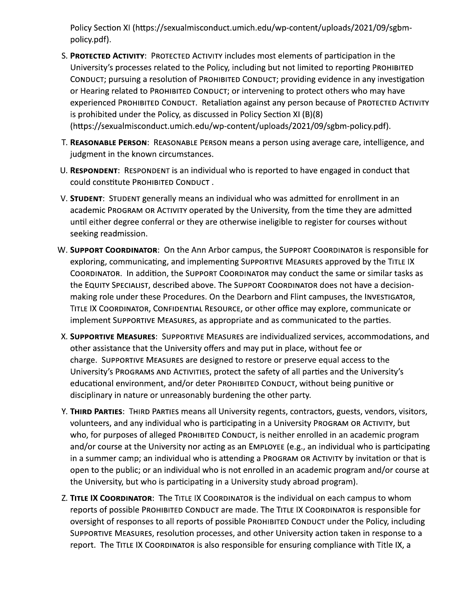Policy Section XI (https://sexualmisconduct.umich.edu/wp-content/uploads/2021/09/sgbmpolicy.pdf).

- Policy Section XI (https://sexualmisconduct.umich.edu/<br>policy.pdf).<br>S. **PROTECTED ACTIVITY**: PROTECTED ACTIVITY includes mos<br>University's processes related to the Policy, including b<br>CONDUCT; pursuing a resolution of PROHI st elements of participation in the University's processes related to the Policy, including but not limited to reporting PROHIBITED CONDUCT; pursuing a resolution of PROHIBITED CONDUCT; providing evidence in any investigation or Hearing related to PROHIBITED CONDUCT; or intervening to protect others who may have experienced PROHIBITED CONDUCT. Retaliation against any person because of PROTECTED ACTIVITY  $\,$ is prohibited under the Policy, as discussed in Policy Section XI (B)(8)  $\,$ (https://sexualmisconduct.umich.edu/wp-content/uploads/2021/09/sgbm-policy.pdf). S. **PROTECTED ACTIVITY:** PROTECTED ACTIVITY includes most ele<br>
University's processes related to the Policy, including but n<br>
CONDUCT; pursuing a resolution of PROHIBITED CONDUCT; pr<br>
or Hearing related to PROHIBITED CONDU
	- T. REASONABLE PERSON: REASONABLE PERSON means a person using average care, intelligence, and judgment in the known circumstances.
	- U. RESPONDENT: RESPONDENT is an individual who is reported to have engaged in conduct that could constitute PROHIBITED CONDUCT .
	- V. **STUDENT**: STUDENT generally means an individual who was admitted for enrollment in an  $\overline{a}$ cademic PROGRAM OR ACTIVITY operated by the University, from the time they are admitted  $\bm{u}$ ntil either degree conferral or they are otherwise ineligible to register for courses without seeking readmission.
	- U. RESPONDENT: RESPONDENT is an individual who<br>could constitute PROHIBITED CONDUCT .<br>V. STUDENT: STUDENT generally means an individu<br>academic PROGRAM OR ACTIVITY operated by th<br>until either degree conferral or they are oth r campus, the SUPPORT COORDINATOR is responsible for exploring, communicating, and implementing SUPPORTIVE MEASURES approved by the TITLE IX COORDINATOR. Th addition, the SUPPORT COORDINATOR may conduct the same or similar tasks as  $\,$  the EQUITY SPECIALIST, described above. The SUPPORT COORDINATOR does not have a decisionmaking role under these Procedures. On the Dearborn and Flint campuses, the INVESTIGATOR,  $\,$ TITLE IX COORDINATOR, CONFIDENTIAL RESOURCE, or other office may explore, communicate or implement SUPPORTIVE MEASURES, as appropriate and as communicated to the parties. W. SUPPORT COORDINATOR: On the Ann Arbor campus, the SUPPORT COORDINATOR is<br>exploring, communicating, and implementing SUPPORT/VC MEASURES approved by<br>COORDINATOR. In addition, the SUPPORT COORDINATOR may conduct the same
		- mmodations, and other assistance that the University offers and may put in place, without fee or  $\,$  charge.  $\,$  SUPPORTIVE MEASURES are designed to restore or preserve equal access to the University's PROGRAMS AND ACTIVITIES, protect the safety of all parties and the University's educational environment, and/or deter PROHIBITED CONDUCT, without being punitive or disciplinary in nature or unreasonably burdening the other party.
	- X. **SUPPORTIVE MEASURES:** SUPPORTIVE MEASURES are individualize<br>other assistance that the University offers and may put in place<br>charge. SUPPORTIVE MEASURES are designed to restore or prese<br>University's PROGRAMS AND ACTIVI ntractors, guests, vendors, visitors,  $\,$ volunteers, and any individual who is participating in a University PROGRAM OR ACTIVITY, but who, for purposes of alleged PROHIBITED CONDUCT, is neither enrolled in an academic program  $\,$ and/or course at the University nor acting as an EMPLOYEE (e.g., an individual who is participating  $\,$ in a summer camp; an individual who is attending a PROGRAM OR ACTIVITY by invitation or that is  $\overline{\phantom{a}}$ open to the public; or an individual who is not enrolled in an academic program and/or course at the University, but who is participating in a University study abroad program).  $\;$ Y. THIRD PARTIES: HHRD PARTIES means all University regents, contracto<br>volunteers, and any individual who is participating in a University PRR<br>who, for purposes of alleged PROHIBITED CONDUCT, is neither enrolled<br>and/or cou
		- n each campus to whom reports of possible PROHIBITED CONDUCT are made. The TITLE IX COORDINATOR is responsible for  $\overline{\phantom{a}}$ oversight of responses to all reports of possible PROHIBITED CONDUCT under the Policy, including SUPPORTIVE MEASURES, resolution processes, and other University action taken in response to a  $\,$  $\epsilon$  report. The TITLE IX COORDINATOR is also responsible for ensuring compliance with Title IX, a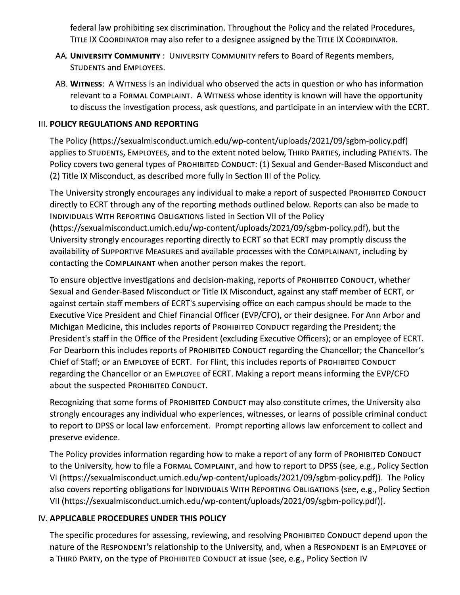federal law prohibiting sex discrimination. Throughout the Policy and the related Procedures, TITLE IX COORDINATOR may also refer to a designee assigned by the TITLE IX COORDINATOR.

- AA. UNIVERSITY COMMUNITY : UNIVERSITY COMMUNITY refers to Board of Regents members, **STUDENTS and EMPLOYEES.**
- AB. WITNESS: A WITNESS is an individual who observed the acts in question or who has information relevant to a FORMAL COMPLAINT. A WITNESS whose identity is known will have the opportunity to discuss the investigation process, ask questions, and participate in an interview with the ECRT.

### **III. POLICY REGULATIONS AND REPORTING**

The Policy (https://sexualmisconduct.umich.edu/wp-content/uploads/2021/09/sgbm-policy.pdf) applies to STUDENTS, EMPLOYEES, and to the extent noted below, THIRD PARTIES, including PATIENTS. The Policy covers two general types of PROHIBITED CONDUCT: (1) Sexual and Gender-Based Misconduct and (2) Title IX Misconduct, as described more fully in Section III of the Policy.

The University strongly encourages any individual to make a report of suspected PROHIBITED CONDUCT directly to ECRT through any of the reporting methods outlined below. Reports can also be made to INDIVIDUALS WITH REPORTING OBLIGATIONS listed in Section VII of the Policy (https://sexualmisconduct.umich.edu/wp-content/uploads/2021/09/sgbm-policy.pdf), but the University strongly encourages reporting directly to ECRT so that ECRT may promptly discuss the availability of SUPPORTIVE MEASURES and available processes with the COMPLAINANT, including by contacting the COMPLAINANT when another person makes the report.

To ensure objective investigations and decision-making, reports of PROHIBITED CONDUCT, whether Sexual and Gender-Based Misconduct or Title IX Misconduct, against any staff member of ECRT, or against certain staff members of ECRT's supervising office on each campus should be made to the Executive Vice President and Chief Financial Officer (EVP/CFO), or their designee. For Ann Arbor and Michigan Medicine, this includes reports of PROHIBITED CONDUCT regarding the President; the President's staff in the Office of the President (excluding Executive Officers); or an employee of ECRT. For Dearborn this includes reports of PROHIBITED CONDUCT regarding the Chancellor; the Chancellor's Chief of Staff; or an EMPLOYEE of ECRT. For Flint, this includes reports of PROHIBITED CONDUCT regarding the Chancellor or an EMPLOYEE of ECRT. Making a report means informing the EVP/CFO about the suspected PROHIBITED CONDUCT.

Recognizing that some forms of PROHIBITED CONDUCT may also constitute crimes, the University also strongly encourages any individual who experiences, witnesses, or learns of possible criminal conduct to report to DPSS or local law enforcement. Prompt reporting allows law enforcement to collect and preserve evidence.

The Policy provides information regarding how to make a report of any form of PROHIBITED CONDUCT to the University, how to file a FORMAL COMPLAINT, and how to report to DPSS (see, e.g., Policy Section VI (https://sexualmisconduct.umich.edu/wp-content/uploads/2021/09/sgbm-policy.pdf)). The Policy also covers reporting obligations for INDIVIDUALS WITH REPORTING OBLIGATIONS (see, e.g., Policy Section VII (https://sexualmisconduct.umich.edu/wp-content/uploads/2021/09/sgbm-policy.pdf)).

# IV. APPLICABLE PROCEDURES UNDER THIS POLICY

The specific procedures for assessing, reviewing, and resolving PROHIBITED CONDUCT depend upon the nature of the RESPONDENT's relationship to the University, and, when a RESPONDENT is an EMPLOYEE or a THIRD PARTY, on the type of PROHIBITED CONDUCT at issue (see, e.g., Policy Section IV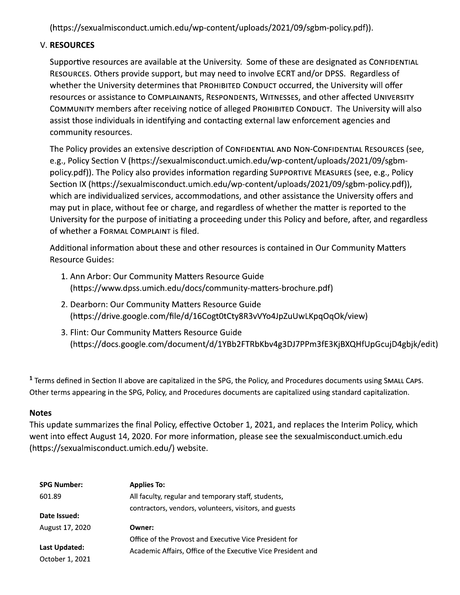(https://sexualmisconduct.umich.edu/wp-content/uploads/2021/09/sgbm-policy.pdf)).

### **V. RESOURCES**

Supportive resources are available at the University. Some of these are designated as CONFIDENTIAL RESOURCES. Others provide support, but may need to involve ECRT and/or DPSS. Regardless of whether the University determines that PROHIBITED CONDUCT occurred, the University will offer resources or assistance to COMPLAINANTS, RESPONDENTS, WITNESSES, and other affected UNIVERSITY COMMUNITY members after receiving notice of alleged PROHIBITED CONDUCT. The University will also assist those individuals in identifying and contacting external law enforcement agencies and community resources.

The Policy provides an extensive description of CONFIDENTIAL AND NON-CONFIDENTIAL RESOURCES (see, e.g., Policy Section V (https://sexualmisconduct.umich.edu/wp-content/uploads/2021/09/sgbmpolicy.pdf)). The Policy also provides information regarding SUPPORTIVE MEASURES (see, e.g., Policy Section IX (https://sexualmisconduct.umich.edu/wp-content/uploads/2021/09/sgbm-policy.pdf)), which are individualized services, accommodations, and other assistance the University offers and may put in place, without fee or charge, and regardless of whether the matter is reported to the University for the purpose of initiating a proceeding under this Policy and before, after, and regardless of whether a FORMAL COMPLAINT is filed.

Additional information about these and other resources is contained in Our Community Matters **Resource Guides:** 

- 1. Ann Arbor: Our Community Matters Resource Guide (https://www.dpss.umich.edu/docs/community-matters-brochure.pdf)
- 2. Dearborn: Our Community Matters Resource Guide (https://drive.google.com/file/d/16Cogt0tCty8R3vVYo4JpZuUwLKpqOqOk/view)
- 3. Flint: Our Community Matters Resource Guide (https://docs.google.com/document/d/1YBb2FTRbKbv4g3DJ7PPm3fE3KjBXQHfUpGcujD4gbjk/edit)

<sup>1</sup> Terms defined in Section II above are capitalized in the SPG, the Policy, and Procedures documents using SMALL CAPS. Other terms appearing in the SPG, Policy, and Procedures documents are capitalized using standard capitalization.

#### **Notes**

This update summarizes the final Policy, effective October 1, 2021, and replaces the Interim Policy, which went into effect August 14, 2020. For more information, please see the sexualmisconduct.umich.edu (https://sexualmisconduct.umich.edu/) website.

| <b>SPG Number:</b> | <b>Applies To:</b>                                           |
|--------------------|--------------------------------------------------------------|
| 601.89             | All faculty, regular and temporary staff, students,          |
| Date Issued:       | contractors, vendors, volunteers, visitors, and guests       |
| August 17, 2020    | Owner:                                                       |
| Last Updated:      | Office of the Provost and Executive Vice President for       |
| October 1, 2021    | Academic Affairs, Office of the Executive Vice President and |